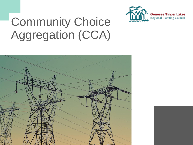

# Community Choice Aggregation (CCA)

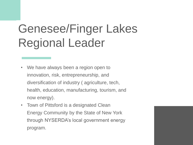# Genesee/Finger Lakes Regional Leader

- We have always been a region open to innovation, risk, entrepreneurship, and diversification of industry ( agriculture, tech, health, education, manufacturing, tourism, and now energy).
- Town of Pittsford is a designated Clean Energy Community by the State of New York through NYSERDA's local government energy program.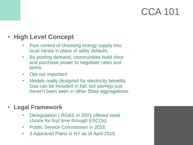### • **High Level Concept**

- Puts control of choosing energy supply into local hands in place of utility defaults
- By pooling demand, communities build clout and purchase power to negotiate rates and terms
- Opt-out important
- Models really designed for electricity benefits. Gas can be included in bid, but savings just haven't been seen in other State aggregations.

### • **Legal Framework**

- Deregulation ( RG&E in 2001 offered retail choice for first time through ESCOs)
- Public Service Commission in 2016
- 3 Approved Plans in NY as of April 2018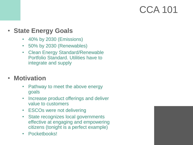### • **State Energy Goals**

- 40% by 2030 (Emissions)
- 50% by 2030 (Renewables)
- Clean Energy Standard/Renewable Portfolio Standard. Utilities have to integrate and supply

### • **Motivation**

- Pathway to meet the above energy goals
- Increase product offerings and deliver value to customers
- ESCOs were not delivering
- State recognizes local governments effective at engaging and empowering citizens (tonight is a perfect example)
- Pocketbooks!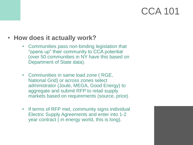### • **How does it actually work?**

- Communities pass non-binding legislation that "opens up" their community to CCA potential (over 50 communities in NY have this based on Department of State data).
- Communities in same load zone ( RGE, National Grid) or across zones select administrator (Joule, MEGA, Good Energy) to aggregate and submit RFP to retail supply markets based on requirements (source, price)
- If terms of RFP met, community signs individual Electric Supply Agreements and enter into 1-2 year contract ( in energy world, this is long).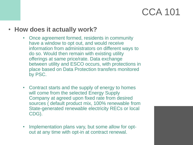### • **How does it actually work?**

- Once agreement formed, residents in community have a window to opt out, and would receive information from administrators on different ways to do so. Would then remain with existing utility offerings at same price/rate. Data exchange between utility and ESCO occurs, with protections in place based on Data Protection transfers monitored by PSC.
- Contract starts and the supply of energy to homes will come from the selected Energy Supply Company at agreed upon fixed rate from desired sources ( default product mix, 100% renewable from State-generated renewable electricity RECs or local CDG).
- Implementation plans vary, but some allow for optout at any time with opt-in at contract renewal.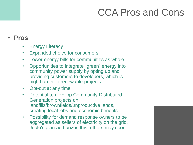# CCA Pros and Cons

#### • **Pros**

- Energy Literacy
- Expanded choice for consumers
- Lower energy bills for communities as whole
- Opportunities to integrate "green" energy into community power supply by opting up and providing customers to developers, which is high barrier to renewable projects
- Opt-out at any time
- Potential to develop Community Distributed Generation projects on landfills/brownfields/unproductive lands, creating local jobs and economic benefits
- Possibility for demand response owners to be aggregated as sellers of electricity on the grid. Joule's plan authorizes this, others may soon.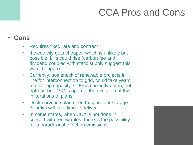# CCA Pros and Cons

### • **Cons**

- Requires fixed rate and contract
- If electricity gets cheaper, which is unlikely but possible, bills could rise (carbon fee and dividend coupled with static supply suggest this won't happen)
- Currently, bottleneck of renewable projects in line for interconnection to grid, could take years to develop capacity. CDG is currently opt-in, not opt-out, but PSC is open to the evolution of this in iterations of plans.
- Duck curve in solar, need to figure out storage. Benefits will take time to deliver
- In some states, when CCA is not done in concert with renewables, there is the possibility for a paradoxical effect on emissions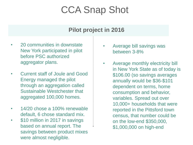# CCA Snap Shot

### **Pilot project in 2016**

- 20 communities in downstate New York participated in pilot before PSC authorized aggregator plans.
- Current staff of Joule and Good Energy managed the pilot through an aggregation called Sustainable Westchester that aggregated 100,000 homes.
- 14/20 chose a 100% renewable default, 6 chose standard mix.
- \$10 million in 2017 in savings based on annual report. The savings between product mixes were almost negligible.
- Average bill savings was between 3-8%
- Average monthly electricity bill in New York State as of today is \$106.00 (so savings averages annually would be \$36-\$101 dependent on terms, home consumption and behavior, variables. Spread out over 10,000+ households that were reported in the Pittsford town census, that number could be on the low-end \$350,000, \$1,000,000 on high-end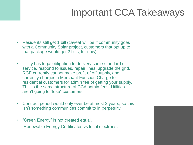# Important CCA Takeaways

- Residents still get 1 bill (caveat will be if community goes with a Community Solar project, customers that opt up to that package would get 2 bills, for now).
- Utility has legal obligation to delivery same standard of service, respond to issues, repair lines, upgrade the grid. RGE currently cannot make profit of off supply, and currently charges a Merchant Function Charge to residential customers for admin fee of getting your supply. This is the same structure of CCA admin fees. Utilities aren't going to "lose" customers.
- Contract period would only ever be at most 2 years, so this isn't something communities commit to in perpetuity.
- "Green Energy" is not created equal. Renewable Energy Certificates vs local electrons.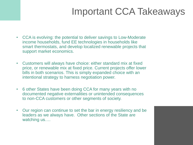# Important CCA Takeaways

- CCA is evolving: the potential to deliver savings to Low-Moderate income households, fund EE technologies in households like smart thermostats, and develop localized renewable projects that support market economics.
- Customers will always have choice: either standard mix at fixed price, or renewable mix at fixed price. Current projects offer lower bills in both scenarios. This is simply expanded choice with an intentional strategy to harness negotiation power.
- 6 other States have been doing CCA for many years with no documented negative externalities or unintended consequences to non-CCA customers or other segments of society.
- Our region can continue to set the bar in energy resiliency and be leaders as we always have. Other sections of the State are watching us....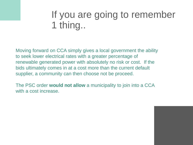## If you are going to remember 1 thing..

Moving forward on CCA simply gives a local government the ability to seek lower electrical rates with a greater percentage of renewable generated power with absolutely no risk or cost. If the bids ultimately comes in at a cost more than the current default supplier, a community can then choose not be proceed.

The PSC order **would not allow** a municipality to join into a CCA with a cost increase.